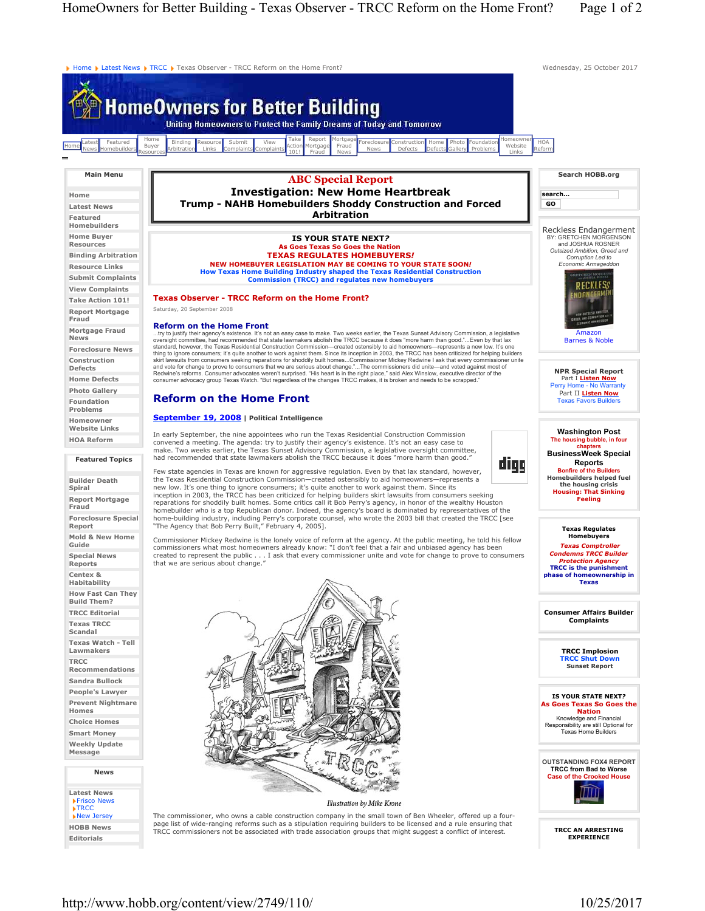Home Flatest News FTRCC FTexas Observer - TRCC Reform on the Home Front? Wednesday, 25 October 2017